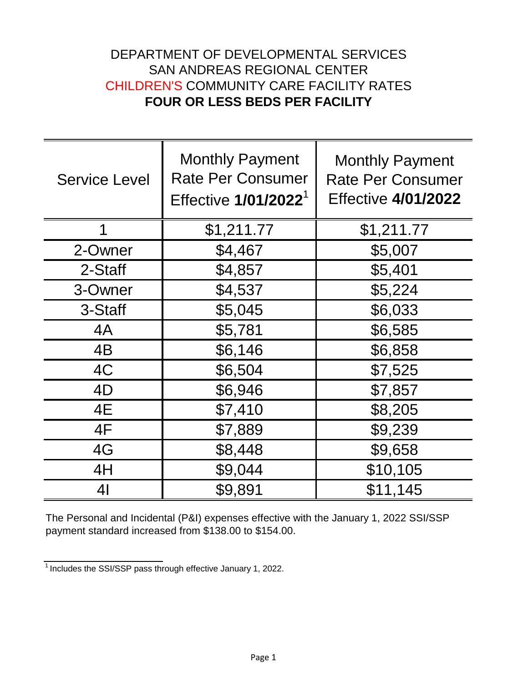## DEPARTMENT OF DEVELOPMENTAL SERVICES SAN ANDREAS REGIONAL CENTER CHILDREN'S COMMUNITY CARE FACILITY RATES **FOUR OR LESS BEDS PER FACILITY**

| <b>Service Level</b> | <b>Monthly Payment</b><br><b>Rate Per Consumer</b><br>Effective 1/01/2022 <sup>1</sup> | <b>Monthly Payment</b><br><b>Rate Per Consumer</b><br><b>Effective 4/01/2022</b> |
|----------------------|----------------------------------------------------------------------------------------|----------------------------------------------------------------------------------|
| 1                    | \$1,211.77                                                                             | \$1,211.77                                                                       |
| 2-Owner              | \$4,467                                                                                | \$5,007                                                                          |
| 2-Staff              | \$4,857                                                                                | \$5,401                                                                          |
| 3-Owner              | \$4,537                                                                                | \$5,224                                                                          |
| 3-Staff              | \$5,045                                                                                | \$6,033                                                                          |
| 4A                   | \$5,781                                                                                | \$6,585                                                                          |
| 4B                   | \$6,146                                                                                | \$6,858                                                                          |
| 4C                   | \$6,504                                                                                | \$7,525                                                                          |
| 4D                   | \$6,946                                                                                | \$7,857                                                                          |
| 4E                   | \$7,410                                                                                | \$8,205                                                                          |
| 4F                   | \$7,889                                                                                | \$9,239                                                                          |
| 4G                   | \$8,448                                                                                | \$9,658                                                                          |
| 4H                   | \$9,044                                                                                | \$10,105                                                                         |
| 4 <sub>l</sub>       | \$9,891                                                                                | \$11,145                                                                         |

The Personal and Incidental (P&I) expenses effective with the January 1, 2022 SSI/SSP payment standard increased from \$138.00 to \$154.00.

 $\frac{1}{1}$  Includes the SSI/SSP pass through effective January 1, 2022.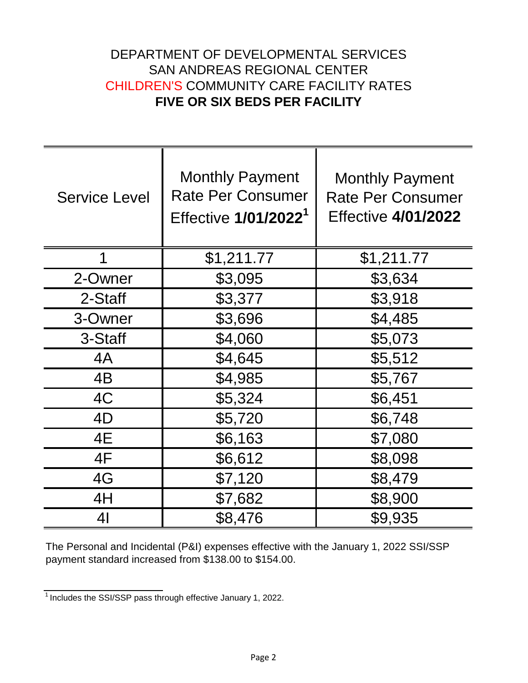## DEPARTMENT OF DEVELOPMENTAL SERVICES SAN ANDREAS REGIONAL CENTER CHILDREN'S COMMUNITY CARE FACILITY RATES **FIVE OR SIX BEDS PER FACILITY**

| <b>Service Level</b> | <b>Monthly Payment</b><br><b>Rate Per Consumer</b><br>Effective 1/01/2022 <sup>1</sup> | <b>Monthly Payment</b><br><b>Rate Per Consumer</b><br><b>Effective 4/01/2022</b> |
|----------------------|----------------------------------------------------------------------------------------|----------------------------------------------------------------------------------|
| 1                    | \$1,211.77                                                                             | \$1,211.77                                                                       |
| 2-Owner              | \$3,095                                                                                | \$3,634                                                                          |
| 2-Staff              | \$3,377                                                                                | \$3,918                                                                          |
| 3-Owner              | \$3,696                                                                                | \$4,485                                                                          |
| 3-Staff              | \$4,060                                                                                | \$5,073                                                                          |
| 4A                   | \$4,645                                                                                | \$5,512                                                                          |
| 4B                   | \$4,985                                                                                | \$5,767                                                                          |
| 4C                   | \$5,324                                                                                | \$6,451                                                                          |
| 4D                   | \$5,720                                                                                | \$6,748                                                                          |
| 4E                   | \$6,163                                                                                | \$7,080                                                                          |
| 4F                   | \$6,612                                                                                | \$8,098                                                                          |
| 4G                   | \$7,120                                                                                | \$8,479                                                                          |
| 4H                   | \$7,682                                                                                | \$8,900                                                                          |
| 4 <sub>l</sub>       | \$8,476                                                                                | \$9,935                                                                          |

The Personal and Incidental (P&I) expenses effective with the January 1, 2022 SSI/SSP payment standard increased from \$138.00 to \$154.00.

 $\frac{1}{1}$  Includes the SSI/SSP pass through effective January 1, 2022.